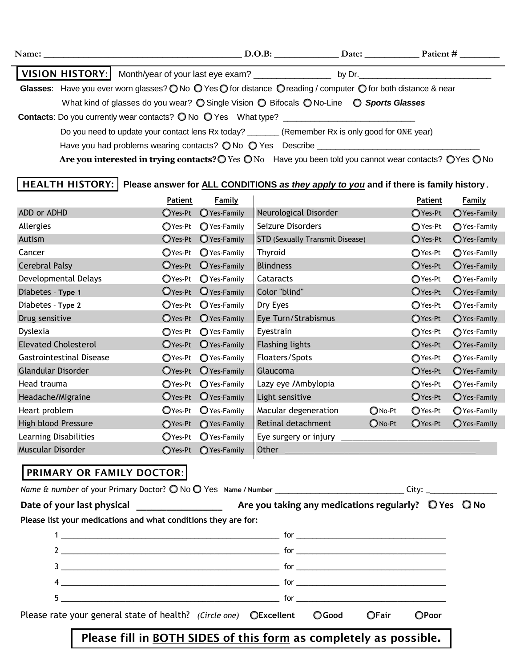|                                                                                                                |  | Name:                                                                                                                                                                                                                              |  | D.O.B: Date: Patient # |  |
|----------------------------------------------------------------------------------------------------------------|--|------------------------------------------------------------------------------------------------------------------------------------------------------------------------------------------------------------------------------------|--|------------------------|--|
|                                                                                                                |  |                                                                                                                                                                                                                                    |  |                        |  |
| Glasses: Have you ever worn glasses? O No O Yes O for distance O reading / computer O for both distance & near |  |                                                                                                                                                                                                                                    |  |                        |  |
|                                                                                                                |  | What kind of glasses do you wear? $\bigcirc$ Single Vision $\bigcirc$ Bifocals $\bigcirc$ No-Line $\bigcirc$ Sports Glasses                                                                                                        |  |                        |  |
|                                                                                                                |  | <b>Contacts:</b> Do you currently wear contacts? $\bigcirc$ No $\bigcirc$ Yes What type?                                                                                                                                           |  |                        |  |
|                                                                                                                |  | Do you need to update your contact lens Rx today? _______ (Remember Rx is only good for ONE year)                                                                                                                                  |  |                        |  |
|                                                                                                                |  | Have you had problems wearing contacts? O No O Yes Describe ____________________                                                                                                                                                   |  |                        |  |
|                                                                                                                |  | $\bullet$ . The set of the set of the set of the set of the set of the set of the set of the set of the set of the set of the set of the set of the set of the set of the set of the set of the set of the set of the set of the s |  |                        |  |

Are you interested in trying contacts? O Yes O No Have you been told you cannot wear contacts? O Yes O No

## **HEALTH HISTORY: Please answer for ALL CONDITIONS** *as they apply to you* **and if there is family history***.*

|                                 | Patient    | <b>Family</b> |                                 |                  | <b>Patient</b> | <b>Family</b> |
|---------------------------------|------------|---------------|---------------------------------|------------------|----------------|---------------|
| ADD or ADHD                     | OYes-Pt    | O Yes-Family  | Neurological Disorder           |                  | ◯ Yes-Pt       | O Yes-Family  |
| Allergies                       | ○Yes-Pt    | ◯ Yes-Family  | Seizure Disorders               |                  | ◯ Yes-Pt       | ◯ Yes-Family  |
| Autism                          | OYes-Pt    | O Yes-Family  | STD (Sexually Transmit Disease) |                  | O Yes-Pt       | O Yes-Family  |
| Cancer                          | OYes-Pt    | O Yes-Family  | Thyroid                         |                  | ○Yes-Pt        | ◯ Yes-Family  |
| <b>Cerebral Palsy</b>           | OYes-Pt    | O Yes-Family  | <b>Blindness</b>                |                  | OYes-Pt        | O Yes-Family  |
| Developmental Delays            | OYes-Pt    | O Yes-Family  | Cataracts                       |                  | ○Yes-Pt        | ○Yes-Family   |
| Diabetes - Type 1               | $O$ Yes-Pt | O Yes-Family  | Color "blind"                   |                  | OYes-Pt        | O Yes-Family  |
| Diabetes - Type 2               | OYes-Pt    | O Yes-Family  | Dry Eyes                        |                  | ○Yes-Pt        | O Yes-Family  |
| Drug sensitive                  | OYes-Pt    | O Yes-Family  | Eye Turn/Strabismus             |                  | ○Yes-Pt        | ◯ Yes-Family  |
| Dyslexia                        | ○Yes-Pt    | ○ Yes-Family  | Eyestrain                       |                  | ○Yes-Pt        | ◯ Yes-Family  |
| <b>Elevated Cholesterol</b>     | OYes-Pt    | O Yes-Family  | <b>Flashing lights</b>          |                  | OYes-Pt        | O Yes-Family  |
| <b>Gastrointestinal Disease</b> | ○Yes-Pt    | O Yes-Family  | Floaters/Spots                  |                  | ○Yes-Pt        | ◯ Yes-Family  |
| Glandular Disorder              | OYes-Pt    | O Yes-Family  | Glaucoma                        |                  | OYes-Pt        | O Yes-Family  |
| Head trauma                     | OYes-Pt    | O Yes-Family  | Lazy eye /Ambylopia             |                  | ○Yes-Pt        | ○Yes-Family   |
| Headache/Migraine               | $O$ Yes-Pt | O Yes-Family  | Light sensitive                 |                  | OYes-Pt        | O Yes-Family  |
| Heart problem                   | ○Yes-Pt    | O Yes-Family  | Macular degeneration            | ONo-Pt           | ○Yes-Pt        | O Yes-Family  |
| High blood Pressure             | ○Yes-Pt    | ◯ Yes-Family  | Retinal detachment              | $\bigcirc$ No-Pt | OYes-Pt        | O Yes-Family  |
| Learning Disabilities           | OYes-Pt    | O Yes-Family  | Eye surgery or injury           |                  |                |               |
| Muscular Disorder               | OYes-Pt    | O Yes-Family  | Other                           |                  |                |               |

## **PRIMARY OR FAMILY DOCTOR:**

| Please list your medications and what conditions they are for:                |  |  |       |  |
|-------------------------------------------------------------------------------|--|--|-------|--|
|                                                                               |  |  |       |  |
| $2$ $\overline{\phantom{a}}$ for $\overline{\phantom{a}}$                     |  |  |       |  |
|                                                                               |  |  |       |  |
|                                                                               |  |  |       |  |
|                                                                               |  |  |       |  |
| Please rate your general state of health? (Circle one) OExcellent OGood OFair |  |  | OPoor |  |
| Please fill in BOTH SIDES of this form as completely as possible.             |  |  |       |  |